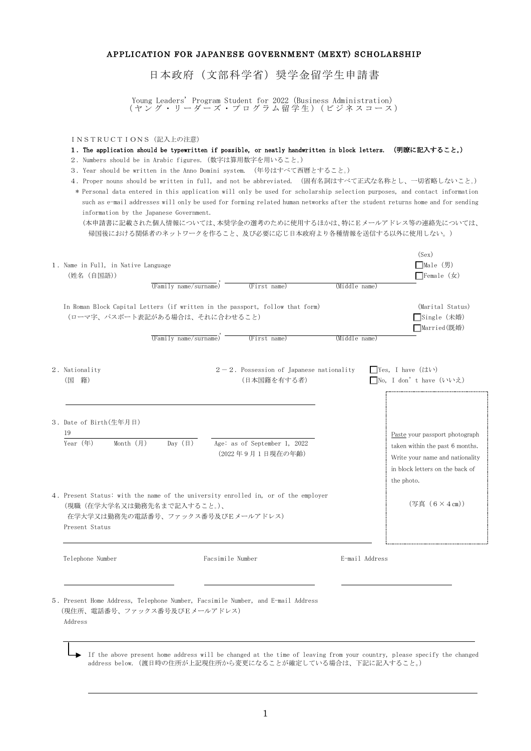## APPLICATION FOR JAPANESE GOVERNMENT (MEXT) SCHOLARSHIP

日本政府(文部科学省)奨学金留学生申請書

Young Leaders' Program Student for 2022(Business Administration) ( ヤ ン グ ・ リ ー ダ ー ズ ・ プ ロ グ ラ ム 留 学 生 ) ( ビ ジ ネ ス コ ー ス )

INSTRUCTIONS(記入上の注意)

## 1.The application should be typewritten if possible, or neatly handwritten in block letters. (明瞭に記入すること。)

- 2.Numbers should be in Arabic figures.(数字は算用数字を用いること。)
- 3.Year should be written in the Anno Domini system. (年号はすべて西暦とすること。)
- 4. Proper nouns should be written in full, and not be abbreviated. (固有名詞はすべて正式な名称とし、一切省略しないこと。) \* Personal data entered in this application will only be used for scholarship selection purposes, and contact information such as e-mail addresses will only be used for forming related human networks after the student returns home and for sending information by the Japanese Government.

(本申請書に記載された個人情報については、本奨学金の選考のために使用するほかは、特にEメールアドレス等の連絡先については、 帰国後における関係者のネットワークを作ること、及び必要に応じ日本政府より各種情報を送信する以外に使用しない。)

|    |                                                                                                                                                                         |                                           |                                                           |                                                  | (Sex)                                                                                                 |
|----|-------------------------------------------------------------------------------------------------------------------------------------------------------------------------|-------------------------------------------|-----------------------------------------------------------|--------------------------------------------------|-------------------------------------------------------------------------------------------------------|
|    | 1. Name in Full, in Native Language                                                                                                                                     |                                           |                                                           |                                                  | □Male $($ 男 $)$                                                                                       |
|    | (姓名 (自国語))                                                                                                                                                              |                                           |                                                           |                                                  | $\Box$ Female $(\nexists x)$                                                                          |
|    |                                                                                                                                                                         | $\overline{\text{(Family name/surname)}}$ | (First name)                                              | (Middle name)                                    |                                                                                                       |
|    | In Roman Block Capital Letters (if written in the passport, follow that form)<br>(ローマ字、パスポート表記がある場合は、それに合わせること)                                                         |                                           |                                                           |                                                  | (Marital Status)<br>□Single(未婚)<br>□Married(既婚)                                                       |
|    |                                                                                                                                                                         | $T$ amily name/surname)                   | (First name)                                              | (Middle name)                                    |                                                                                                       |
| (国 | 2. Nationality<br>籍)                                                                                                                                                    |                                           | $2-2$ . Possession of Japanese nationality<br>(日本国籍を有する者) | $\Box$ Yes. I have $($ t $\downarrow$ t $\vee$ ) | □No, I don' t have (いいえ)                                                                              |
| 19 | 3. Date of Birth(生年月日)                                                                                                                                                  |                                           |                                                           |                                                  | Paste your passport photograph                                                                        |
|    | $Year$ (年)<br>Month $(月)$                                                                                                                                               | Day $(\boxplus)$                          | Age: as of September 1, 2022<br>(2022年9月1日現在の年齢)          | the photo.                                       | taken within the past 6 months.<br>Write your name and nationality<br>in block letters on the back of |
|    | 4. Present Status: with the name of the university enrolled in, or of the employer<br>(現職(在学大学名又は勤務先名まで記入すること。)、<br>在学大学又は勤務先の電話番号、ファックス番号及びEメールアドレス)<br>Present Status |                                           |                                                           |                                                  | $(4, 4)$ (6 × 4 cm))                                                                                  |
|    | Telephone Number                                                                                                                                                        |                                           | Facsimile Number                                          | E-mail Address                                   |                                                                                                       |
|    | 5. Present Home Address, Telephone Number, Facsimile Number, and E-mail Address<br>(現住所、電話番号、ファックス番号及びEメールアドレス)<br>Address                                              |                                           |                                                           |                                                  |                                                                                                       |

If the above present home address will be changed at the time of leaving from your country, please specify the changed address below.(渡日時の住所が上記現住所から変更になることが確定している場合は、下記に記入すること。)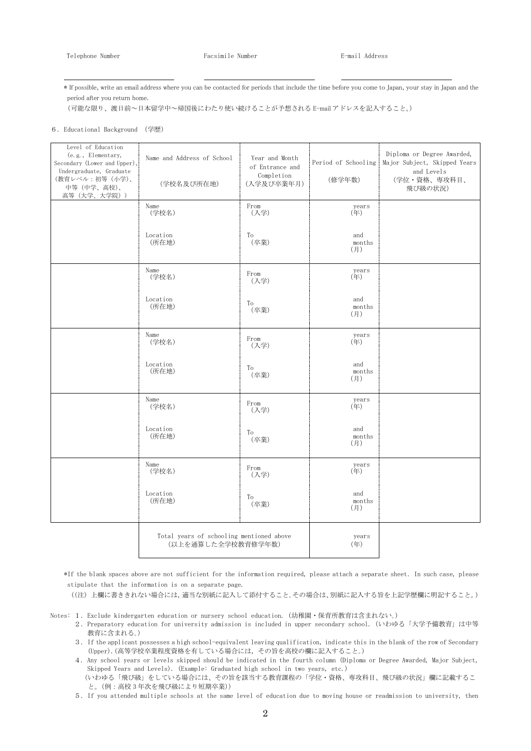\* If possible, write an email address where you can be contacted for periods that include the time before you come to Japan, your stay in Japan and the period after you return home.

(可能な限り、渡日前~日本留学中~帰国後にわたり使い続けることが予想される E-mail アドレスを記入すること。)

6. Educational Background (学歴)

| Level of Education<br>(e.g., Elementary,<br>Secondary (Lower and Upper),<br>Undergraduate, Graduate<br>(教育レベル:初等 (小学)、<br>中等 (中学、高校)、<br>高等 (大学、大学院)) | Name and Address of School<br>(学校名及び所在地)                       | Year and Month<br>of Entrance and<br>Completion<br>(入学及び卒業年月) | Period of Schooling<br>(修学年数) | Diploma or Degree Awarded,<br>Major Subject, Skipped Years<br>and Levels<br>(学位·資格、専攻科目、<br>飛び級の状況) |
|-------------------------------------------------------------------------------------------------------------------------------------------------------|----------------------------------------------------------------|---------------------------------------------------------------|-------------------------------|-----------------------------------------------------------------------------------------------------|
|                                                                                                                                                       | Name<br>(学校名)                                                  | From<br>(入学)                                                  | years<br>(年)                  |                                                                                                     |
|                                                                                                                                                       | Location<br>(所在地)                                              | To<br>(卒業)                                                    | and<br>months<br>(月)          |                                                                                                     |
|                                                                                                                                                       | Name<br>(学校名)                                                  | From<br>(入学)                                                  | years<br>(年)                  |                                                                                                     |
|                                                                                                                                                       | Location<br>(所在地)                                              | To<br>(卒業)                                                    | and<br>months<br>(月)          |                                                                                                     |
|                                                                                                                                                       | Name<br>(学校名)                                                  | From<br>(入学)                                                  | years<br>(年)                  |                                                                                                     |
|                                                                                                                                                       | Location<br>(所在地)                                              | To<br>(卒業)                                                    | and<br>months<br>(月)          |                                                                                                     |
|                                                                                                                                                       | Name<br>(学校名)                                                  | From<br>(入学)                                                  | years<br>(年)                  |                                                                                                     |
|                                                                                                                                                       | Location<br>(所在地)                                              | To<br>(卒業)                                                    | and<br>months<br>(月)          |                                                                                                     |
|                                                                                                                                                       | Name<br>(学校名)                                                  | From<br>(入学)                                                  | years<br>(年)                  |                                                                                                     |
|                                                                                                                                                       | Location<br>(所在地)                                              | To<br>(卒業)                                                    | and<br>months<br>(月)          |                                                                                                     |
|                                                                                                                                                       | Total years of schooling mentioned above<br>(以上を通算した全学校教育修学年数) |                                                               | years<br>(年)                  |                                                                                                     |

 \*If the blank spaces above are not sufficient for the information required, please attach a separate sheet.In such case, please stipulate that the information is on a separate page.

((注) 上欄に書ききれない場合には,適当な別紙に記入して添付すること。その場合は、別紙に記入する旨を上記学歴欄に明記すること。)

- Notes: 1.Exclude kindergarten education or nursery school education. (幼稚園・保育所教育は含まれない。)
	- 2.Preparatory education for university admission is included in upper secondary school.(いわゆる「大学予備教育」は中等 教育に含まれる。)
	- 3.If the applicant possesses a high school-equivalent leaving qualification, indicate this in the blank of the row of Secondary (Upper).(高等学校卒業程度資格を有している場合には,その旨を高校の欄に記入すること。)
	- 4. Any school years or levels skipped should be indicated in the fourth column (Diploma or Degree Awarded, Major Subject, Skipped Years and Levels). (Example: Graduated high school in two years, etc.) (いわゆる「飛び級」をしている場合には、その旨を該当する教育課程の「学位・資格、専攻科目、飛び級の状況」欄に記載するこ と。(例:高校 3 年次を飛び級により短期卒業))
	- 5.If you attended multiple schools at the same level of education due to moving house or readmission to university, then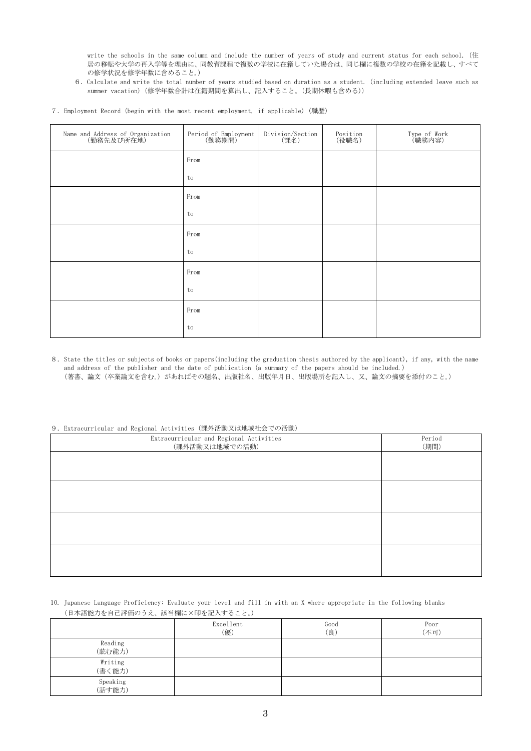write the schools in the same column and include the number of years of study and current status for each school. (住 居の移転や大学の再入学等を理由に、同教育課程で複数の学校に在籍していた場合は、同じ欄に複数の学校の在籍を記載し、すべて の修学状況を修学年数に含めること。)

6. Calculate and write the total number of years studied based on duration as a student. (including extended leave such as summer vacation)(修学年数合計は在籍期間を算出し、記入すること。(長期休暇も含める))

|  |  |  |  |  |  |  |  |  |  | 7. Employment Record (begin with the most recent employment, if applicable) (職歴) |  |
|--|--|--|--|--|--|--|--|--|--|----------------------------------------------------------------------------------|--|
|--|--|--|--|--|--|--|--|--|--|----------------------------------------------------------------------------------|--|

| Name and Address of Organization<br>(勤務先及び所在地) | Period of Employment<br>(勤務期間) | Division/Section<br>(課名) | Position<br>(役職名) | Type of Work<br>(職務内容) |
|------------------------------------------------|--------------------------------|--------------------------|-------------------|------------------------|
|                                                | From                           |                          |                   |                        |
|                                                | to                             |                          |                   |                        |
|                                                | From                           |                          |                   |                        |
|                                                | to                             |                          |                   |                        |
|                                                | From                           |                          |                   |                        |
|                                                | to                             |                          |                   |                        |
|                                                | From                           |                          |                   |                        |
|                                                | to                             |                          |                   |                        |
|                                                | From                           |                          |                   |                        |
|                                                | to                             |                          |                   |                        |

8.State the titles or subjects of books or papers(including the graduation thesis authored by the applicant), if any, with the name and address of the publisher and the date of publication (a summary of the papers should be included.) (著書、論文(卒業論文を含む。)があればその題名、出版社名、出版年月日、出版場所を記入し、又、論文の摘要を添付のこと。)

## 9.Extracurricular and Regional Activities(課外活動又は地域社会での活動)

| 0. EXPLOYMENT CHAINS ROSEONAL NOVEVEDLOD (WAY HE SYZE OVER STEAK & 7714 SYZ |                |  |  |  |
|-----------------------------------------------------------------------------|----------------|--|--|--|
| Extracurricular and Regional Activities<br>(課外活動又は地域での活動)                   | Period<br>(期間) |  |  |  |
|                                                                             |                |  |  |  |
|                                                                             |                |  |  |  |
|                                                                             |                |  |  |  |
|                                                                             |                |  |  |  |
|                                                                             |                |  |  |  |
|                                                                             |                |  |  |  |
|                                                                             |                |  |  |  |
|                                                                             |                |  |  |  |

## 10. Japanese Language Proficiency: Evaluate your level and fill in with an X where appropriate in the following blanks (日本語能力を自己評価のうえ、該当欄に×印を記入すること。)

|                    | Excellent<br>(優) | Good<br>(良) | Poor<br>(不可) |
|--------------------|------------------|-------------|--------------|
| Reading<br>(読む能力)  |                  |             |              |
| Writing<br>(書く能力)  |                  |             |              |
| Speaking<br>(話す能力) |                  |             |              |